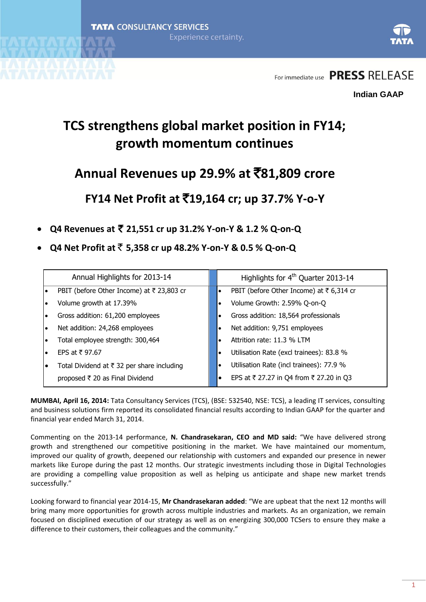

## **TCS strengthens global market position in FY14; growth momentum continues**

# **Annual Revenues up 29.9% at** `**81,809 crore**

**FY14 Net Profit at** `**19,164 cr; up 37.7% Y-o-Y**

- **Q4 Revenues at** ` **21,551 cr up 31.2% Y-on-Y & 1.2 % Q-on-Q**
- **Q4 Net Profit at** ` **5,358 cr up 48.2% Y-on-Y & 0.5 % Q-on-Q**

| Annual Highlights for 2013-14                   | Highlights for 4 <sup>th</sup> Quarter 2013-14 |
|-------------------------------------------------|------------------------------------------------|
| PBIT (before Other Income) at ₹ 23,803 cr       | PBIT (before Other Income) at ₹6,314 cr        |
| Volume growth at 17.39%                         | Volume Growth: 2.59% Q-on-Q                    |
| Gross addition: 61,200 employees                | Gross addition: 18,564 professionals           |
| Net addition: 24,268 employees                  | Net addition: 9,751 employees                  |
| Total employee strength: 300,464                | Attrition rate: 11.3 % LTM                     |
| EPS at ₹97.67                                   | Utilisation Rate (excl trainees): 83.8 %       |
| Total Dividend at ₹ 32 per share including      | Utilisation Rate (incl trainees): 77.9 %       |
| proposed $\overline{\tau}$ 20 as Final Dividend | EPS at ₹ 27.27 in Q4 from ₹ 27.20 in Q3        |

**MUMBAI, April 16, 2014:** Tata Consultancy Services (TCS), (BSE: 532540, NSE: TCS), a leading IT services, consulting and business solutions firm reported its consolidated financial results according to Indian GAAP for the quarter and financial year ended March 31, 2014.

Commenting on the 2013-14 performance, **N. Chandrasekaran, CEO and MD said:** "We have delivered strong growth and strengthened our competitive positioning in the market. We have maintained our momentum, improved our quality of growth, deepened our relationship with customers and expanded our presence in newer markets like Europe during the past 12 months. Our strategic investments including those in Digital Technologies are providing a compelling value proposition as well as helping us anticipate and shape new market trends successfully."

Looking forward to financial year 2014-15, **Mr Chandrasekaran added**: "We are upbeat that the next 12 months will bring many more opportunities for growth across multiple industries and markets. As an organization, we remain focused on disciplined execution of our strategy as well as on energizing 300,000 TCSers to ensure they make a difference to their customers, their colleagues and the community."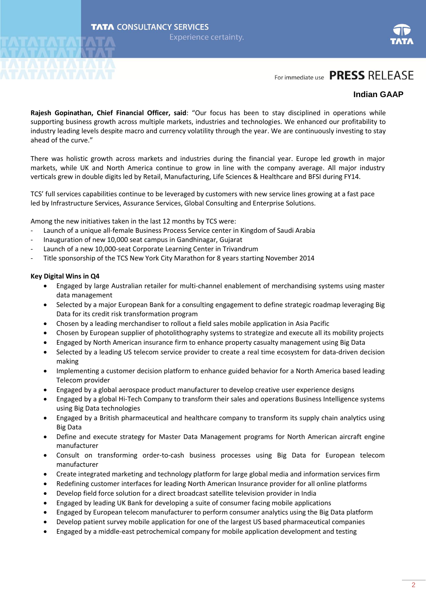

#### **Indian GAAP**

**Rajesh Gopinathan, Chief Financial Officer, said**: "Our focus has been to stay disciplined in operations while supporting business growth across multiple markets, industries and technologies. We enhanced our profitability to industry leading levels despite macro and currency volatility through the year. We are continuously investing to stay ahead of the curve."

There was holistic growth across markets and industries during the financial year. Europe led growth in major markets, while UK and North America continue to grow in line with the company average. All major industry verticals grew in double digits led by Retail, Manufacturing, Life Sciences & Healthcare and BFSI during FY14.

TCS' full services capabilities continue to be leveraged by customers with new service lines growing at a fast pace led by Infrastructure Services, Assurance Services, Global Consulting and Enterprise Solutions.

Among the new initiatives taken in the last 12 months by TCS were:

- Launch of a unique all-female Business Process Service center in Kingdom of Saudi Arabia
- Inauguration of new 10,000 seat campus in Gandhinagar, Gujarat
- Launch of a new 10,000-seat Corporate Learning Center in Trivandrum
- Title sponsorship of the TCS New York City Marathon for 8 years starting November 2014

#### **Key Digital Wins in Q4**

- Engaged by large Australian retailer for multi-channel enablement of merchandising systems using master data management
- Selected by a major European Bank for a consulting engagement to define strategic roadmap leveraging Big Data for its credit risk transformation program
- Chosen by a leading merchandiser to rollout a field sales mobile application in Asia Pacific
- Chosen by European supplier of photolithography systems to strategize and execute all its mobility projects
- Engaged by North American insurance firm to enhance property casualty management using Big Data
- Selected by a leading US telecom service provider to create a real time ecosystem for data-driven decision making
- Implementing a customer decision platform to enhance guided behavior for a North America based leading Telecom provider
- Engaged by a global aerospace product manufacturer to develop creative user experience designs
- Engaged by a global Hi-Tech Company to transform their sales and operations Business Intelligence systems using Big Data technologies
- Engaged by a British pharmaceutical and healthcare company to transform its supply chain analytics using Big Data
- Define and execute strategy for Master Data Management programs for North American aircraft engine manufacturer
- Consult on transforming order-to-cash business processes using Big Data for European telecom manufacturer
- Create integrated marketing and technology platform for large global media and information services firm
- Redefining customer interfaces for leading North American Insurance provider for all online platforms
- Develop field force solution for a direct broadcast satellite television provider in India
- Engaged by leading UK Bank for developing a suite of consumer facing mobile applications
- Engaged by European telecom manufacturer to perform consumer analytics using the Big Data platform
- Develop patient survey mobile application for one of the largest US based pharmaceutical companies
- Engaged by a middle-east petrochemical company for mobile application development and testing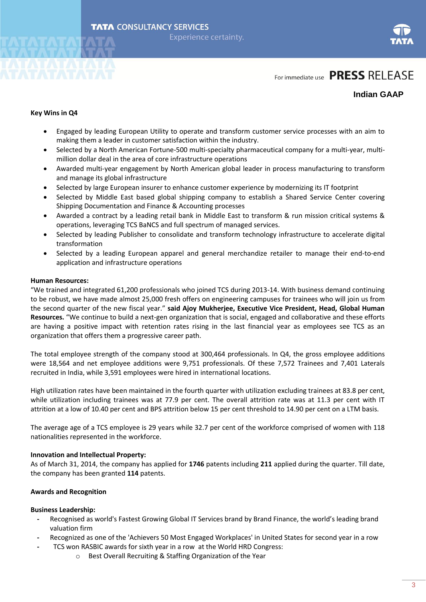



#### **Indian GAAP**

#### **Key Wins in Q4**

- Engaged by leading European Utility to operate and transform customer service processes with an aim to making them a leader in customer satisfaction within the industry.
- Selected by a North American Fortune-500 multi-specialty pharmaceutical company for a multi-year, multimillion dollar deal in the area of core infrastructure operations
- Awarded multi-year engagement by North American global leader in process manufacturing to transform and manage its global infrastructure
- Selected by large European insurer to enhance customer experience by modernizing its IT footprint
- Selected by Middle East based global shipping company to establish a Shared Service Center covering Shipping Documentation and Finance & Accounting processes
- Awarded a contract by a leading retail bank in Middle East to transform & run mission critical systems & operations, leveraging TCS BaNCS and full spectrum of managed services.
- Selected by leading Publisher to consolidate and transform technology infrastructure to accelerate digital transformation
- Selected by a leading European apparel and general merchandize retailer to manage their end-to-end application and infrastructure operations

#### **Human Resources:**

"We trained and integrated 61,200 professionals who joined TCS during 2013-14. With business demand continuing to be robust, we have made almost 25,000 fresh offers on engineering campuses for trainees who will join us from the second quarter of the new fiscal year." **said Ajoy Mukherjee, Executive Vice President, Head, Global Human Resources.** "We continue to build a next-gen organization that is social, engaged and collaborative and these efforts are having a positive impact with retention rates rising in the last financial year as employees see TCS as an organization that offers them a progressive career path.

The total employee strength of the company stood at 300,464 professionals. In Q4, the gross employee additions were 18,564 and net employee additions were 9,751 professionals. Of these 7,572 Trainees and 7,401 Laterals recruited in India, while 3,591 employees were hired in international locations.

High utilization rates have been maintained in the fourth quarter with utilization excluding trainees at 83.8 per cent, while utilization including trainees was at 77.9 per cent. The overall attrition rate was at 11.3 per cent with IT attrition at a low of 10.40 per cent and BPS attrition below 15 per cent threshold to 14.90 per cent on a LTM basis.

The average age of a TCS employee is 29 years while 32.7 per cent of the workforce comprised of women with 118 nationalities represented in the workforce.

#### **Innovation and Intellectual Property:**

As of March 31, 2014, the company has applied for **1746** patents including **211** applied during the quarter. Till date, the company has been granted **114** patents.

#### **Awards and Recognition**

#### **Business Leadership:**

- **-** Recognised as world's Fastest Growing Global IT Services brand by Brand Finance, the world's leading brand valuation firm
- **-** Recognized as one of the 'Achievers 50 Most Engaged Workplaces' in United States for second year in a row
- **-** TCS won RASBIC awards for sixth year in a row at the World HRD Congress:
	- o Best Overall Recruiting & Staffing Organization of the Year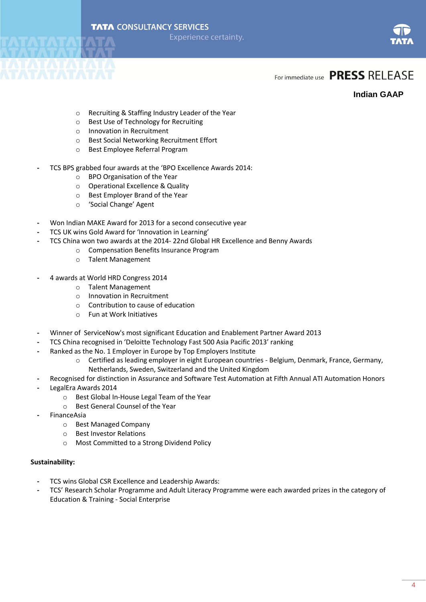



#### **Indian GAAP**

- o Recruiting & Staffing Industry Leader of the Year
- o Best Use of Technology for Recruiting
- o Innovation in Recruitment
- o Best Social Networking Recruitment Effort
- o Best Employee Referral Program
- **-** TCS BPS grabbed four awards at the 'BPO Excellence Awards 2014:
	- o BPO Organisation of the Year
	- o Operational Excellence & Quality
	- o Best Employer Brand of the Year
	- o 'Social Change' Agent
- **-** Won Indian MAKE Award for 2013 for a second consecutive year
- **-** TCS UK wins Gold Award for 'Innovation in Learning'
- **-** TCS China won two awards at the 2014- 22nd Global HR Excellence and Benny Awards
	- o Compensation Benefits Insurance Program
	- o Talent Management
- **-** 4 awards at World HRD Congress 2014
	- o Talent Management
	- o Innovation in Recruitment
	- o Contribution to cause of education
	- o Fun at Work Initiatives
- **-** Winner of ServiceNow's most significant Education and Enablement Partner Award 2013
- **-** TCS China recognised in 'Deloitte Technology Fast 500 Asia Pacific 2013' ranking
- **-** Ranked as the No. 1 Employer in Europe by Top Employers Institute
	- o Certified as leading employer in eight European countries Belgium, Denmark, France, Germany, Netherlands, Sweden, Switzerland and the United Kingdom
- **-** Recognised for distinction in Assurance and Software Test Automation at Fifth Annual ATI Automation Honors
- **-** LegalEra Awards 2014
	- o Best Global In-House Legal Team of the Year
	- o Best General Counsel of the Year
- **-** FinanceAsia
	- o Best Managed Company
	- o Best Investor Relations
	- o Most Committed to a Strong Dividend Policy

#### **Sustainability:**

- **-** TCS wins Global CSR Excellence and Leadership Awards:
- **-** TCS' Research Scholar Programme and Adult Literacy Programme were each awarded prizes in the category of Education & Training - Social Enterprise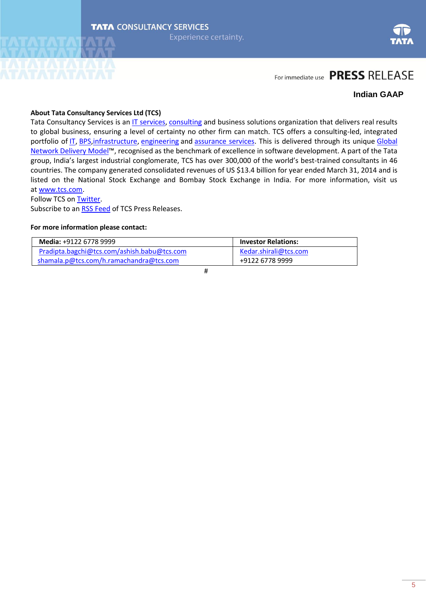

#### **Indian GAAP**

#### **About Tata Consultancy Services Ltd (TCS)**

Tata Consultancy Services is an [IT services,](http://www.tcs.com/offerings/it-services/Pages/default.aspx) [consulting](http://www.tcs.com/offerings/consulting/Pages/default.aspx) and business solutions organization that delivers real results to global business, ensuring a level of certainty no other firm can match. TCS offers a consulting-led, integrated portfolio of [IT,](http://www.tcs.com/offerings/it-services/Pages/default.aspx) [BPS,](http://www.tcs.com/offerings/business_process_outsourcing_BPO/Pages/default.aspx) [infrastructure,](http://www.tcs.com/offerings/it_infrastructure/Pages/default.aspx) [engineering](http://www.tcs.com/offerings/engineering_services/Pages/default.aspx) and [assurance services.](http://www.tcs.com/offerings/assurance_services/Pages/default.aspx) This is delivered through its unique Global [Network Delivery Model](http://www.tcs.com/about/tcs_difference/global_delivery/Pages/default.aspx)™, recognised as the benchmark of excellence in software development. A part of the Tata group, India's largest industrial conglomerate, TCS has over 300,000 of the world's best-trained consultants in 46 countries. The company generated consolidated revenues of US \$13.4 billion for year ended March 31, 2014 and is listed on the National Stock Exchange and Bombay Stock Exchange in India. For more information, visit us at [www.tcs.com.](http://www.tcs.com/)

Follow TCS o[n Twitter.](http://twitter.com/TCS_News)

Subscribe to an [RSS Feed](http://www.tcs.com/rss_feeds/Pages/feed.aspx?f=p) of TCS Press Releases.

#### **For more information please contact:**

| <b>Media: +9122 6778 9999</b>               | <b>Investor Relations:</b> |
|---------------------------------------------|----------------------------|
| Pradipta.bagchi@tcs.com/ashish.babu@tcs.com | Kedar.shirali@tcs.com      |
| shamala.p@tcs.com/h.ramachandra@tcs.com     | +9122 6778 9999            |

#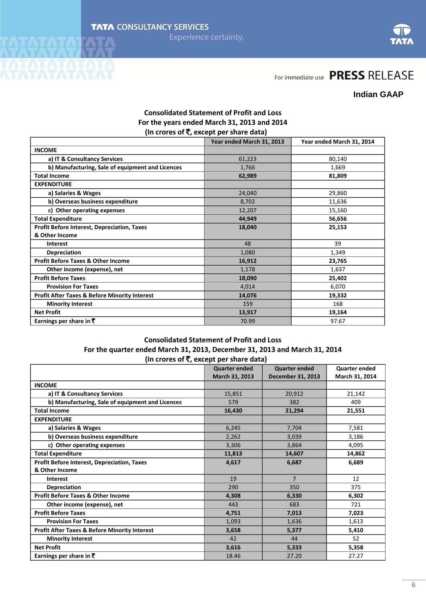

#### **Indian GAAP**

#### **Consolidated Statement of Profit and Loss For the years ended March 31, 2013 and 2014**  $\lim$  crores of  $\bar{\mathbf{z}}$ , except per share data)

|                                                          | $(111)$ croince of $\lambda$ , calculate por exist of state $\lambda$ |                           |
|----------------------------------------------------------|-----------------------------------------------------------------------|---------------------------|
|                                                          | Year ended March 31, 2013                                             | Year ended March 31, 2014 |
| <b>INCOME</b>                                            |                                                                       |                           |
| a) IT & Consultancy Services                             | 61,223                                                                | 80,140                    |
| b) Manufacturing, Sale of equipment and Licences         | 1,766                                                                 | 1,669                     |
| <b>Total Income</b>                                      | 62,989                                                                | 81,809                    |
| <b>EXPENDITURE</b>                                       |                                                                       |                           |
| a) Salaries & Wages                                      | 24,040                                                                | 29,860                    |
| b) Overseas business expenditure                         | 8,702                                                                 | 11,636                    |
| c) Other operating expenses                              | 12,207                                                                | 15,160                    |
| <b>Total Expenditure</b>                                 | 44,949                                                                | 56,656                    |
| <b>Profit Before Interest, Depreciation, Taxes</b>       | 18,040                                                                | 25,153                    |
| & Other Income                                           |                                                                       |                           |
| <b>Interest</b>                                          | 48                                                                    | 39                        |
| <b>Depreciation</b>                                      | 1,080                                                                 | 1,349                     |
| <b>Profit Before Taxes &amp; Other Income</b>            | 16,912                                                                | 23,765                    |
| Other income (expense), net                              | 1,178                                                                 | 1,637                     |
| <b>Profit Before Taxes</b>                               | 18,090                                                                | 25,402                    |
| <b>Provision For Taxes</b>                               | 4,014                                                                 | 6,070                     |
| <b>Profit After Taxes &amp; Before Minority Interest</b> | 14,076                                                                | 19,332                    |
| <b>Minority Interest</b>                                 | 159                                                                   | 168                       |
| <b>Net Profit</b>                                        | 13,917                                                                | 19,164                    |
| Earnings per share in $\bar{\bar{\mathbf{x}}}$           | 70.99                                                                 | 97.67                     |

#### **Consolidated Statement of Profit and Loss For the quarter ended March 31, 2013, December 31, 2013 and March 31, 2014 (In crores of** `**, except per share data)**

|                                                          | <b>Quarter ended</b><br>March 31, 2013 | <b>Quarter ended</b><br>December 31, 2013 | <b>Quarter ended</b><br>March 31, 2014 |
|----------------------------------------------------------|----------------------------------------|-------------------------------------------|----------------------------------------|
| <b>INCOME</b>                                            |                                        |                                           |                                        |
| a) IT & Consultancy Services                             | 15,851                                 | 20,912                                    | 21,142                                 |
| b) Manufacturing, Sale of equipment and Licences         | 579                                    | 382                                       | 409                                    |
| <b>Total Income</b>                                      | 16,430                                 | 21,294                                    | 21,551                                 |
| <b>EXPENDITURE</b>                                       |                                        |                                           |                                        |
| a) Salaries & Wages                                      | 6,245                                  | 7,704                                     | 7,581                                  |
| b) Overseas business expenditure                         | 2,262                                  | 3,039                                     | 3,186                                  |
| c) Other operating expenses                              | 3,306                                  | 3,864                                     | 4,095                                  |
| <b>Total Expenditure</b>                                 | 11,813                                 | 14,607                                    | 14,862                                 |
| <b>Profit Before Interest, Depreciation, Taxes</b>       | 4,617                                  | 6,687                                     | 6,689                                  |
| & Other Income                                           |                                        |                                           |                                        |
| <b>Interest</b>                                          | 19                                     | $\overline{7}$                            | 12                                     |
| <b>Depreciation</b>                                      | 290                                    | 350                                       | 375                                    |
| <b>Profit Before Taxes &amp; Other Income</b>            | 4,308                                  | 6,330                                     | 6,302                                  |
| Other income (expense), net                              | 443                                    | 683                                       | 721                                    |
| <b>Profit Before Taxes</b>                               | 4,751                                  | 7,013                                     | 7,023                                  |
| <b>Provision For Taxes</b>                               | 1,093                                  | 1,636                                     | 1,613                                  |
| <b>Profit After Taxes &amp; Before Minority Interest</b> | 3,658                                  | 5,377                                     | 5,410                                  |
| <b>Minority Interest</b>                                 | 42                                     | 44                                        | 52                                     |
| <b>Net Profit</b>                                        | 3,616                                  | 5,333                                     | 5,358                                  |
| Earnings per share in $\bar{\mathbf{z}}$                 | 18.46                                  | 27.20                                     | 27.27                                  |